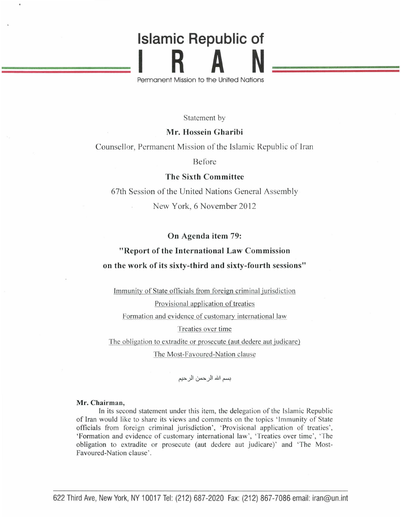# **Islamic Republic of I R A N**

Permanent Mission to the United Nations

Statement by

# **Mr. Hossein Gharibi**

Counsellor, Permanent Mission of the Islamic Republic of Iran

Before

## **The Sixth Committee**

67th Session of the United Nations General Assembly New York, 6 November 2012

## **On Agenda item 79:**

# **"Report of the International Law Commission on the work of its sixty-third and sixty-fourth sessions"**

Immunity of State officials from foreign criminal jurisdiction

Provisional application of treaties Formation and evidence of customary international law

Treaties over time

The obligation to extradite or prosecute (aut dedere aut judicare)

The Most-Favoured-Nation clause

بسم الله الرحمن الرحيم

#### **Mr. Chairman,**

In its second statement under this item, the delegation of the Islamic Republic of Iran would like to share its views and comments on the topics ' Immunity of State officials from foreign criminal jurisdiction', 'Provisional application of treaties', 'Formation and evidence of customary international law', 'Treaties over time ', 'The obligation to extradite or prosecute (aut dedere aut judicare)' and 'The Most-Favoured-Nation clause'.

622 Third Ave, New York, NY 10017 Tel: (212) 687-2020 Fax: (212) 867-7086 email: iran@un.int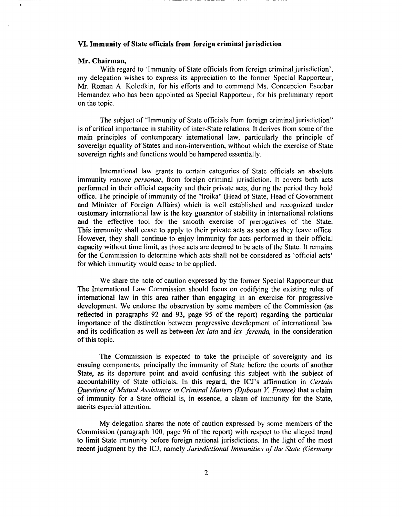#### **VI. Immunity of State officials from foreign criminal jurisdiction**

#### **Mr. Chairman,**

With regard to 'Immunity of State officials from foreign criminal jurisdiction', my delegation wishes to express its appreciation to the former Special Rapporteur, Mr. Roman A. Kolodkin, for his efforts and to commend Ms. Concepcion Escobar Hernandez who has been appointed as Special Rapporteur, for his preliminary report on the topic.

The subject of "Immunity of State officials from foreign criminal jurisdiction" is of critical importance in stability of inter-State relations. It derives from some of the main principles of contemporary international law, particularly the principle of sovereign equality of States and non-intervention, without which the exercise of State sovereign rights and functions would be hampered essentially.

International law grants to certain categories of State officials an absolute immunity *ratione personae,* from foreign criminal jurisdiction. It covers both acts performed in their official capacity and their private acts, during the period they hold office. The principle of immunity of the "troika" (Head of State, Head of Government and Minister of Foreign Affairs) which is well established and recognized under customary international law is the key guarantor of stability in international relations and the effective tool for the smooth exercise of prerogatives of the State. This immunity shall cease to apply to their private acts as soon as they leave office. However, they shall continue to enjoy immunity for acts performed in their official capacity without time limit, as those acts are deemed to be acts of the State. It remains for the Commission to determine which acts shall not be considered as 'official acts' for which immunity would cease to be applied.

We share the note of caution expressed by the former Special Rapporteur that The International Law Commission should focus on codifying the existing rules of international law in this area rather than engaging in an exercise for progressive development. We endorse the observation by some members of the Commission (as reflected in paragraphs 92 and 93, page 95 of the report) regarding the particular importance of the distinction between progressive development of international law and its codification as well as between *lex lata* and *lex ferenda*, in the consideration of this topic.

The Commission is expected to take the principle of sovereignty and its ensuing components, principally the immunity of State before the courts of another State, as its departure point and avoid confusing this subject with the subject of accountability of State officials. In this regard, the ICJ's affirmation in *Certain Questions of Mutual Assistance in Criminal Matters (Djibouti V France)* that a claim of immunity for a State official is, in essence, a claim of immunity for the State, merits especial attention.

My delegation shares the note of caution expressed by some members of the Commission (paragraph 100, page 96 of the report) with respect to the alleged trend to limit State immunity before foreign national jurisdictions, In the light of the most recent judgment by the ICJ, namely *Jurisdictional Immunities of the State (Germany*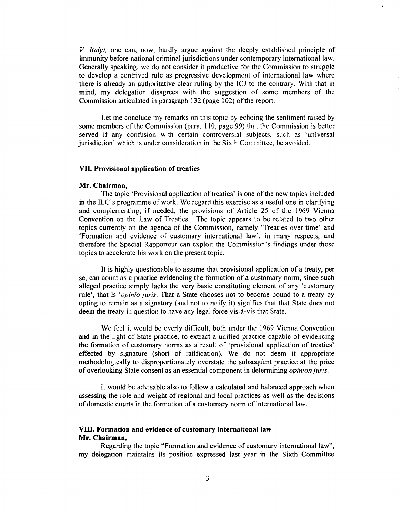*V. Italy),* one can, now, hardly argue against the deeply established principle of immunity before national criminal jurisdictions under contemporary international law. Generally speaking, we do not consider it productive for the Commission to struggle to develop a contrived rule as progressive development of international law where there is already an authoritative clear ruling by the ICJ to the contrary. With that in mind, my delegation disagrees with the suggestion of some members of the Commission articulated in paragraph 132 (page 102) of the report.

Let me conclude my remarks on this topic by echoing the sentiment raised by some members of the Commission (para. 110, page 99) that the Commission is better served if any confusion with certain controversial subjects, such as 'universal jurisdiction' which is under consideration in the Sixth Committee, be avoided.

#### **VII. Provisional application of treaties**

#### **Mr. Chairman,**

The topic 'Provisional application of treaties' is one of the new topics included in the ILC's programme of work. We regard this exercise as a useful one in clarifying and complementing, if needed, the provisions of Article 25 of the 1969 Vienna Convention on the Law of Treaties. The topic appears to be related to two other topics currently on the agenda of the Commission, namely 'Treaties over time' and 'Formation and evidence of customary international law', in many respects, and therefore the Special Rapporteur can exploit the Commission's findings under those topics to accelerate his work on the present topic.

It is highly questionable to assume that provisional application of a treaty, per se, can count as a practice evidencing the formation of a customary norm, since such alleged practice simply lacks the very basic constituting element of any 'customary rule', that is *'opinio juris*. That a State chooses not to become bound to a treaty by opting to remain as a signatory (and not to ratify it) signifies that that State does not deem the treaty in question to have any legal force vis-a-vis that State.

We feel it would be overly difficult, both under the 1969 Vienna Convention and in the light of State practice, to extract a unified practice capable of evidencing the formation of customary norms as a result of 'provisional application of treaties' effected by signature (short of ratification). We do not deem it appropriate methodologically to disproportionately overstate the subsequent practice at the price of overlooking State consent as an essential component in determining *opinion Juris.* 

It would be advisable also to follow a calculated and balanced approach when assessing the role and weight of regional and local practices as well as the decisions of domestic courts in the formation of a customary norm of international law.

# **VIII. Formation and evidence of customary international law**

## **Mr. Chairman,**

Regarding the topic "Formation and evidence of customary international law", my delegation maintains its position expressed last year in the Sixth Committee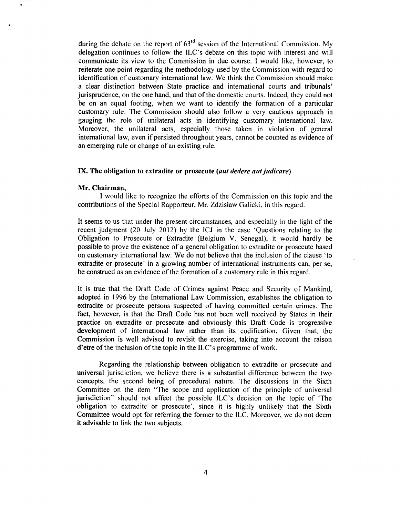during the debate on the report of  $63<sup>rd</sup>$  session of the International Commission. My delegation continues to follow the ILC's debate on this topic with interest and will communicate its view to the Commission in due course. I would like, however, to reiterate one point regarding the methodology used by the Commission with regard to identification of customary international law. We think the Commission should make a clear distinction between State practice and international courts and tribunals' jurisprudence, on the one hand, and that of the domestic courts. Indeed, they could not be on an equal footing, when we want to identify the formation of a particular customary rule. The Commission should also follow a very cautious approach in gauging the role of unilateral acts in identifying customary international law. Moreover, the unilateral acts, especially those taken in violation of general international law, even if persisted throughout years, cannot be counted as evidence of an emerging rule or change of an existing rule.

#### **IX. The** obligation to extradite or prosecute *(aut dedere aut judicare)*

#### **Mr. Chairman,**

I would like to recognize the efforts of the Commission on this topic and the contributions of the Special Rapporteur, Mr. Zdzislaw Galicki, in this regard.

It seems to us that under the present circumstances, and especially in the light of the recent judgment (20 July 2012) by the ICJ in the case 'Questions relating to the Obligation to Prosecute or Extradite (Belgium V. Senegal), it would hardly be possible to prove the existence of a general obligation to extradite or prosecute based on customary international law. We do not believe that the inclusion of the clause 'to extradite or prosecute' in a growing number of international instruments can, per se, be construed as an evidence of the formation of a customary rule in this regard.

It is true that the Draft Code of Crimes against Peace and Security of Mankind, adopted in 1996 by the International Law Commission, establishes the obligation to extradite or prosecute persons suspected of having committed certain crimes. The fact, however, is that the Draft Code has not been well received by States in their practice on extradite or prosecute and obviously this Draft Code is progressive development of international law rather than its codification. Given that, the Commission is well advised to revisit the exercise, taking into account the raison d'etre of the inclusion of the topic in the ILC's programme of work.

Regarding the relationship between obligation to extradite or prosecute and universal jurisdiction, we believe there is a substantial difference between the two concepts, the second being of procedural nature. The discussions in the Sixth Committee on the item "The scope and application of the principle of universal jurisdiction" should not affect the possible ILC's decision on the topic of 'The obligation to extradite or prosecute', since it is highly unlikely that the Sixth Committee would opt for referring the former to the ILC. Moreover, we do not deem it advisable to link the two subjects.